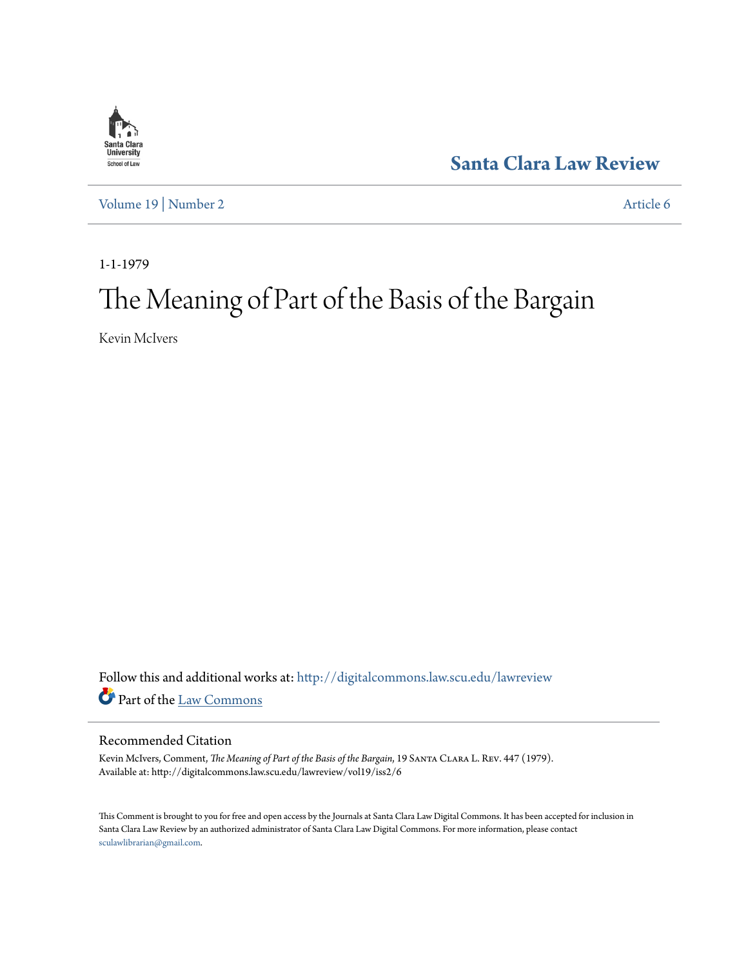

**[Santa Clara Law Review](http://digitalcommons.law.scu.edu/lawreview?utm_source=digitalcommons.law.scu.edu%2Flawreview%2Fvol19%2Fiss2%2F6&utm_medium=PDF&utm_campaign=PDFCoverPages)**

[Volume 19](http://digitalcommons.law.scu.edu/lawreview/vol19?utm_source=digitalcommons.law.scu.edu%2Flawreview%2Fvol19%2Fiss2%2F6&utm_medium=PDF&utm_campaign=PDFCoverPages) | [Number 2](http://digitalcommons.law.scu.edu/lawreview/vol19/iss2?utm_source=digitalcommons.law.scu.edu%2Flawreview%2Fvol19%2Fiss2%2F6&utm_medium=PDF&utm_campaign=PDFCoverPages) [Article 6](http://digitalcommons.law.scu.edu/lawreview/vol19/iss2/6?utm_source=digitalcommons.law.scu.edu%2Flawreview%2Fvol19%2Fiss2%2F6&utm_medium=PDF&utm_campaign=PDFCoverPages)

1-1-1979

# The Meaning of Part of the Basis of the Bargain

Kevin McIvers

Follow this and additional works at: [http://digitalcommons.law.scu.edu/lawreview](http://digitalcommons.law.scu.edu/lawreview?utm_source=digitalcommons.law.scu.edu%2Flawreview%2Fvol19%2Fiss2%2F6&utm_medium=PDF&utm_campaign=PDFCoverPages) Part of the [Law Commons](http://network.bepress.com/hgg/discipline/578?utm_source=digitalcommons.law.scu.edu%2Flawreview%2Fvol19%2Fiss2%2F6&utm_medium=PDF&utm_campaign=PDFCoverPages)

## Recommended Citation

Kevin McIvers, Comment, *The Meaning of Part of the Basis of the Bargain*, 19 Santa Clara L. Rev. 447 (1979). Available at: http://digitalcommons.law.scu.edu/lawreview/vol19/iss2/6

This Comment is brought to you for free and open access by the Journals at Santa Clara Law Digital Commons. It has been accepted for inclusion in Santa Clara Law Review by an authorized administrator of Santa Clara Law Digital Commons. For more information, please contact [sculawlibrarian@gmail.com](mailto:sculawlibrarian@gmail.com).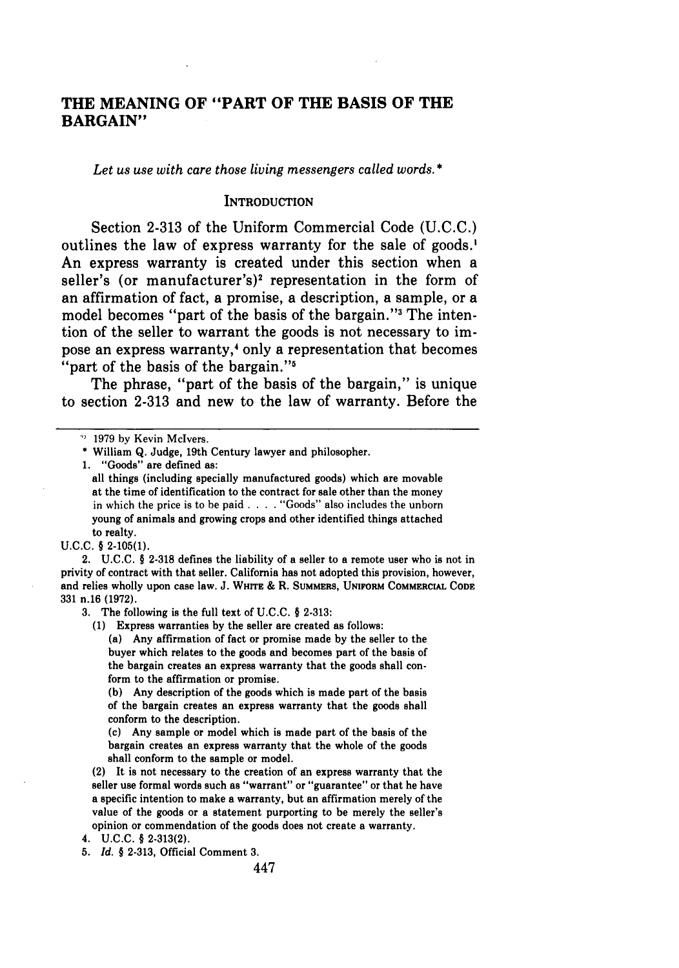# **THE MEANING OF "PART OF THE BASIS OF THE BARGAIN"**

*Let us use with care those living messengers called words. \**

#### **INTRODUCTION**

Section **2-313** of the Uniform Commercial Code **(U.C.C.)** outlines the law of express warranty for the sale of goods.' An express warranty is created under this section when a seller's (or manufacturer's)<sup>2</sup> representation in the form of an affirmation of fact, a promise, a description, a sample, or a model becomes "part of the basis of the bargain."<sup>3</sup> The intention of the seller to warrant the goods is not necessary to impose an express warranty,4 only a representation that becomes "part of the basis of the bargain."<sup>5</sup>

The phrase, "part of the basis of the bargain," is unique to section **2-313** and new to the law of warranty. Before the

2. U.C.C. § 2-318 defines the liability of a seller to a remote user who is not in privity of contract with that seller. California has not adopted this provision, however, and relies wholly upon case law. **J. WHrrE** & R. SUMMERS, **UNIFORM COMMERCIAL CODE 331** n.16 **(1972).**

**3.** The following is the full text of **U.C.C.** § **2-313:**

**(1)** Express warranties **by** the seller are created as follows:

(a) Any affirmation of fact or promise made **by** the seller to the buyer which relates to the goods and becomes part of the basis of the bargain creates an express warranty that the goods shall conform to the affirmation or promise.

**(b)** Any description of the goods which is made part of the basis of the bargain creates an express warranty that the goods shall conform to the description.

(c) Any sample or model which is made part of the basis of the bargain creates an express warranty that the whole of the goods shall conform to the sample or model.

(2) It is not necessary to the creation of an express warranty that the seller use formal words such as "warrant" or "guarantee" or that he have a specific intention to make a warranty, but an affirmation merely of the value of the goods or a statement purporting to be merely the seller's opinion or commendation of the goods does not create a warranty.

*5. Id. §* **2-313,** Official Comment **3.**

<sup>&</sup>lt;sup>19</sup> 1979 by Kevin McIvers.

William Q. Judge, 19th Century lawyer and philosopher.

<sup>1. &</sup>quot;Goods" are defined as:

all things (including specially manufactured goods) which are movable at the time of identification to the contract for sale other than the money in which the price is to be paid . . . . "Goods" also includes the unborn young of animals and growing crops and other identified things attached to realty.

U.C.C. § 2-105(1).

**<sup>4.</sup> U.C.C.** § **2-313(2).**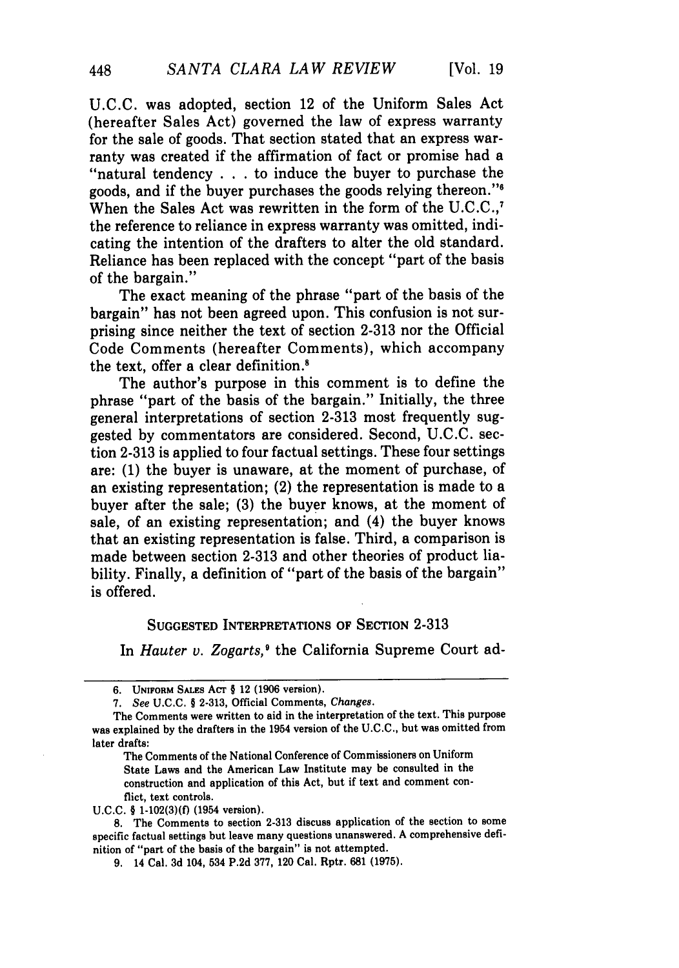U.C.C. was adopted, section 12 of the Uniform Sales Act (hereafter Sales Act) governed the law of express warranty for the sale of goods. That section stated that an express warranty was created if the affirmation of fact or promise had a "natural tendency . . .to induce the buyer to purchase the goods, and if the buyer purchases the goods relying thereon."<sup>6</sup> When the Sales Act was rewritten in the form of the U.C.C..<sup>7</sup> the reference to reliance in express warranty was omitted, indicating the intention of the drafters to alter the old standard. Reliance has been replaced with the concept "part of the basis of the bargain."

The exact meaning of the phrase "part of the basis of the bargain" has not been agreed upon. This confusion is not surprising since neither the text of section 2-313 nor the Official Code Comments (hereafter Comments), which accompany the text, offer a clear definition.<sup>8</sup>

The author's purpose in this comment is to define the phrase "part of the basis of the bargain." Initially, the three general interpretations of section 2-313 most frequently suggested by commentators are considered. Second, U.C.C. section 2-313 is applied to four factual settings. These four settings are: (1) the buyer is unaware, at the moment of purchase, of an existing representation; (2) the representation is made to a buyer after the sale; (3) the buyer knows, at the moment of sale, of an existing representation; and (4) the buyer knows that an existing representation is false. Third, a comparison is made between section 2-313 and other theories of product liability. Finally, a definition of "part of the basis of the bargain" is offered.

#### **SUGGESTED INTERPRETATIONS OF SECTION** 2-313

In *Hauter v. Zogarts,'* the California Supreme Court ad-

The Comments of the National Conference of Commissioners on Uniform State Laws and the American Law Institute may be consulted in the construction and application of this Act, but if text and comment conflict, text controls.

**U.C.C.** § **1-102(3)(f)** (1954 version).

**8.** The Comments to section **2-313** discuss application of the section to some specific factual settings but leave many questions unanswered. **A** comprehensive definition of "part of the basis of the bargain" is not attempted.

**<sup>6.</sup> UNIFORM SALEs ACr § 12 (1906** version).

*<sup>7.</sup> See* **U.C.C.** § **2-313,** Official Comments, *Changes.*

The Comments were written to aid in the interpretation of the text. This purpose was explained **by** the drafters in the 1954 version of the **U.C.C.,** but was omitted from later drafts:

**<sup>9.</sup>** 14 Cal. **3d** 104, 534 **P.2d 377,** 120 Cal. Rptr. **681 (1975).**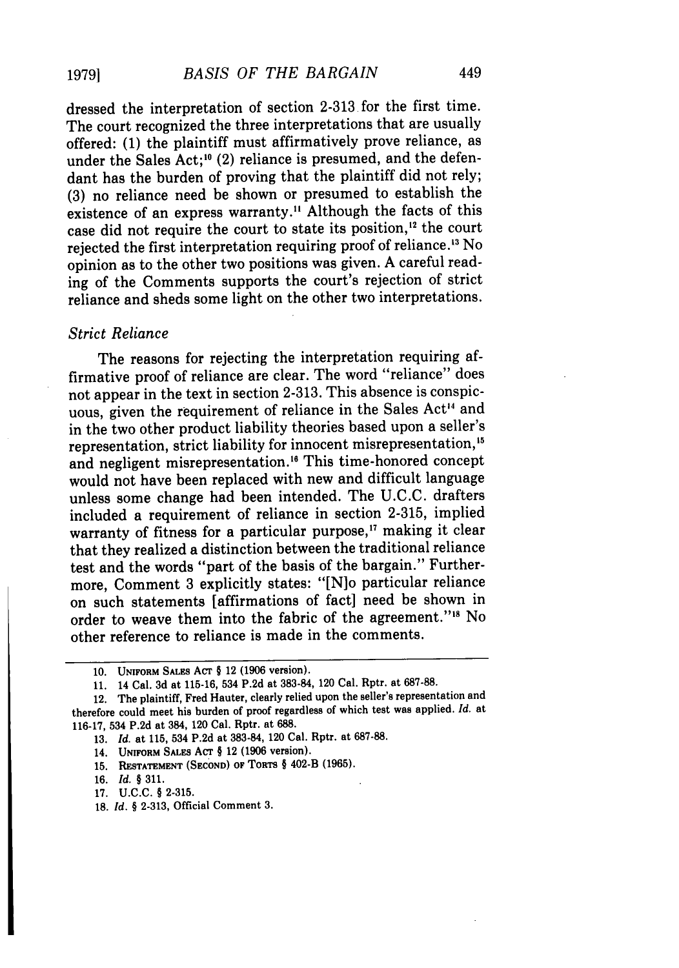dressed the interpretation of section 2-313 for the first time. The court recognized the three interpretations that are usually offered: (1) the plaintiff must affirmatively prove reliance, as under the Sales Act;<sup>10</sup> (2) reliance is presumed, and the defendant has the burden of proving that the plaintiff did not rely; (3) no reliance need be shown or presumed to establish the existence of an express warranty." Although the facts of this case did not require the court to state its position,'2 the court rejected the first interpretation requiring proof of reliance.'3 No opinion as to the other two positions was given. A careful reading of the Comments supports the court's rejection of strict reliance and sheds some light on the other two interpretations.

#### *Strict Reliance*

**19791**

The reasons for rejecting the interpretation requiring affirmative proof of reliance are clear. The word "reliance" does not appear in the text in section 2-313. This absence is conspicuous, given the requirement of reliance in the Sales Act<sup>14</sup> and in the two other product liability theories based upon a seller's representation, strict liability for innocent misrepresentation.<sup>15</sup> and negligent misrepresentation.<sup>16</sup> This time-honored concept would not have been replaced with new and difficult language unless some change had been intended. The U.C.C. drafters included a requirement of reliance in section 2-315, implied warranty of fitness for a particular purpose,<sup>17</sup> making it clear that they realized a distinction between the traditional reliance test and the words "part of the basis of the bargain." Furthermore, Comment 3 explicitly states: "[N]o particular reliance on such statements [affirmations of fact] need be shown in order to weave them into the fabric of the agreement."<sup>18</sup> No other reference to reliance is made in the comments.

**18.** *Id. §* **2-313,** Official Comment **3.**

**<sup>10.</sup> UNIFORM** SALES Acr § 12 **(1906** version).

**<sup>11.</sup>** 14 Cal. **3d** at **115-16,** 534 **P.2d** at **383-84,** 120 Cal. Rptr. at **687-88.**

<sup>12.</sup> The plaintiff, Fred Hauter, clearly relied upon the seller's representation and therefore could meet his burden of proof regardless of which test was applied. *Id.* at **116-17,** 534 **P.2d** at 384, 120 Cal. Rptr. at 688.

**<sup>13.</sup>** *Id.* at **115,** 534 **P.2d** at **383-84,** 120 Cal. Rptr. at **687-88.**

<sup>14.</sup> **UNIFORM SALES ACT § 12 (1906 version).** 

**<sup>15.</sup> RESTATEMENT (SECOND) OF TORTS** § 402-B **(1965).**

**<sup>16.</sup>** *Id.* § **311.**

**<sup>17.</sup> U.C.C.** § **2-315.**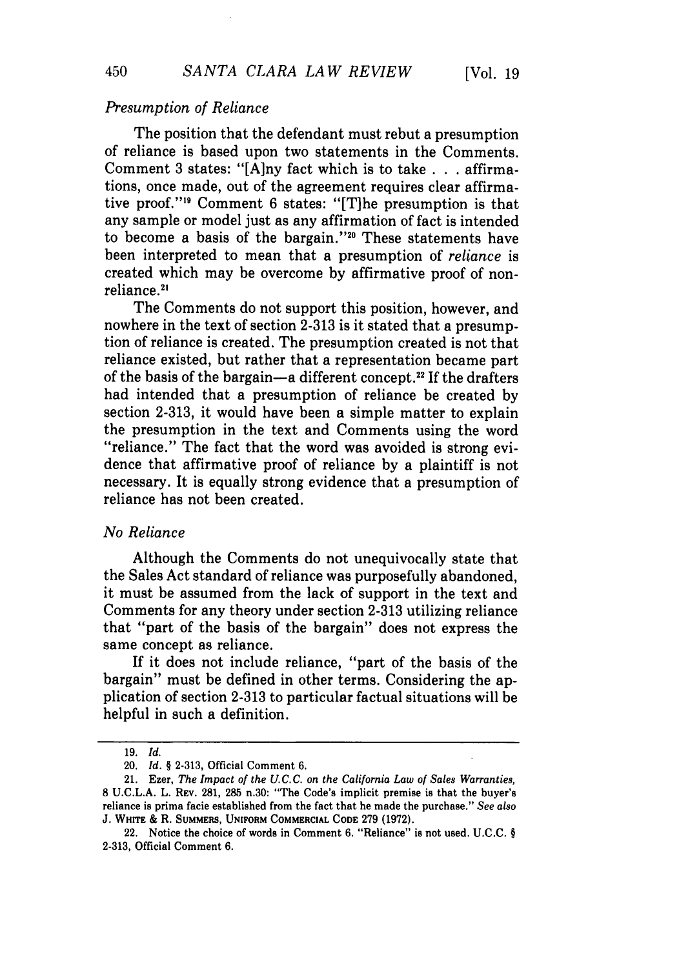## *Presumption of Reliance*

The position that the defendant must rebut a presumption of reliance is based upon two statements in the Comments. Comment 3 states: "[A]ny fact which is to take . . **.** affirmations, once made, out of the agreement requires clear affirmative proof."<sup>19</sup> Comment 6 states: "[T]he presumption is that any sample or model just as any affirmation of fact is intended to become a basis of the bargain.""0 These statements have been interpreted to mean that a presumption of *reliance* is created which may be overcome by affirmative proof of nonreliance.2'

The Comments do not support this position, however, and nowhere in the text of section 2-313 is it stated that a presumption of reliance is created. The presumption created is not that reliance existed, but rather that a representation became part of the basis of the bargain-a different concept.<sup>22</sup> If the drafters had intended that a presumption of reliance be created by section 2-313, it would have been a simple matter to explain the presumption in the text and Comments using the word "reliance." The fact that the word was avoided is strong evidence that affirmative proof of reliance by a plaintiff is not necessary. It is equally strong evidence that a presumption of reliance has not been created.

## *No Reliance*

Although the Comments do not unequivocally state that the Sales Act standard of reliance was purposefully abandoned, it must be assumed from the lack of support in the text and Comments for any theory under section 2-313 utilizing reliance that "part of the basis of the bargain" does not express the same concept as reliance.

If it does not include reliance, "part of the basis of the bargain" must be defined in other terms. Considering the application of section 2-313 to particular factual situations will be helpful in such a definition.

450

<sup>19.</sup> *Id.*

<sup>20.</sup> *Id. §* 2-313, Official Comment 6.

<sup>21.</sup> Ezer, *The Impact of the U. C. C. on the California Law of Sales Warranties,* **8 U.C.L.A.** L. **REV. 281, 285** n.30: "The Code's implicit premise is that the buyer's reliance is prima facie established from the fact that he made the purchase." *See also* **J. WHrrE** & R. **SUMMERS, UNIFORM COMMERCIAL CODE 279 (1972).**

<sup>22.</sup> Notice the choice of words in Comment **6.** "Reliance" is not used. **U.C.C.** *§* **2-313,** Official Comment **6.**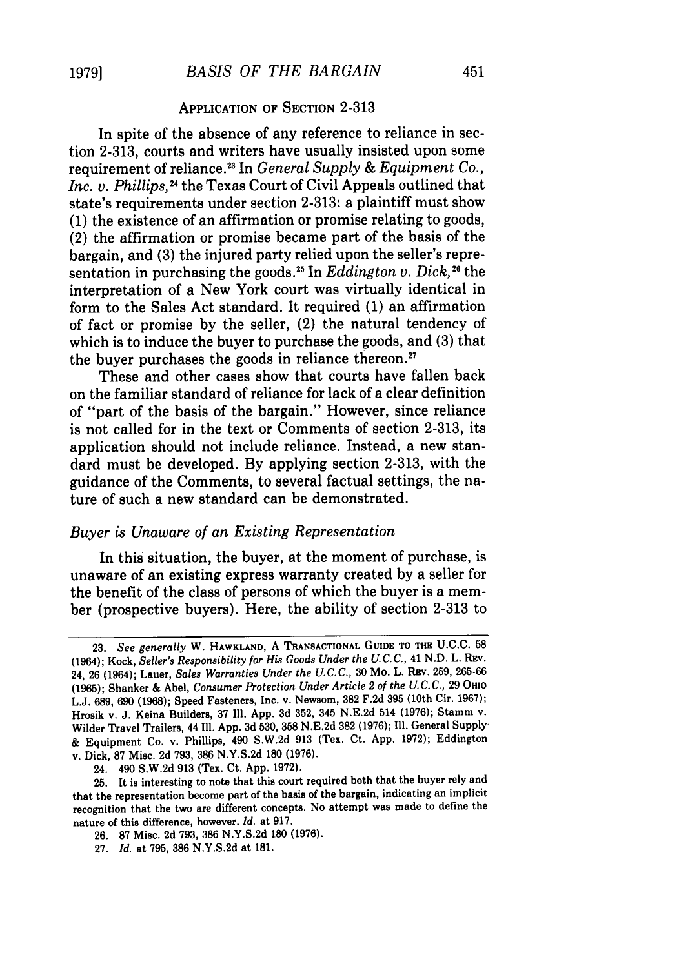#### APPLICATION OF SECTION **2-313**

In spite of the absence of any reference to reliance in section **2-313,** courts and writers have usually insisted upon some requirement of reliance. 3 In *General Supply & Equipment Co., Inc. v. Phillips,"4* the Texas Court of Civil Appeals outlined that state's requirements under section **2-313:** a plaintiff must show **(1)** the existence of an affirmation or promise relating to goods, (2) the affirmation or promise became part of the basis of the bargain, and **(3)** the injured party relied upon the seller's representation in purchasing the goods.<sup>25</sup> In *Eddington v. Dick*,<sup>26</sup> the interpretation of a New York court was virtually identical in form to the Sales Act standard. It required **(1)** an affirmation of fact or promise **by** the seller, (2) the natural tendency of which is to induce the buyer to purchase the goods, and **(3)** that the buyer purchases the goods in reliance thereon.<sup>27</sup>

These and other cases show that courts have fallen back on the familiar standard of reliance for lack of a clear definition of "part of the basis of the bargain." However, since reliance is not called for in the text or Comments of section 2-313, its application should not include reliance. Instead, a new standard must be developed. By applying section 2-313, with the guidance of the Comments, to several factual settings, the nature of such a new standard can be demonstrated.

#### *Buyer is Unaware of an Existing Representation*

In this situation, the buyer, at the moment of purchase, is unaware of an existing express warranty created by a seller for the benefit of the class of persons of which the buyer is a member (prospective buyers). Here, the ability of section 2-313 to

24. 490 **S.W.2d 913** (Tex. Ct. **App. 1972).**

**26. 87** Misc. **2d 793, 386 N.Y.S.2d 180 (1976).**

**<sup>23.</sup>** *See generally* W. **HAWKLAND, A TRANSACTIONAL GUIDE** TO **THE U.C.C.** <sup>58</sup> (1964); Kock, *Seller's Responsibility for His Goods Under the* **U.C. C., 41 N.D.** L. **REV.** 24, **26** (1964); Lauer, *Sales Warranties Under the U.C.C.,* **30** Mo. L. REv. **259, 265-66 (1965);** Shanker **&** Abel, *Consumer Protection Under Article 2 of the U.C.C.,* **29 OHIO L.J. 689, 690 (1968);** Speed Fasteners, Inc. v. Newsom, **382 F.2d 395** (10th Cir. **1967);** Hrosik v. **J.** Keina Builders, **37** Ill. **App. 3d 352,** 345 **N.E.2d** 514 **(1976);** Stamm v. Wilder Travel Trailers, 44 Ill. **App. 3d 530, 358 N.E.2d 382 (1976); Ill.** General Supply **&** Equipment Co. v. Phillips, 490 **S.W.2d 913** (Tex. Ct. **App. 1972);** Eddington v. Dick, **87** Misc. **2d 793, 386 N.Y.S.2d 180 (1976).**

**<sup>25.</sup>** It is interesting to note that this court required both that the buyer rely and that the representation become part of the basis of the bargain, indicating an implicit recognition that the two are different concepts. No attempt was made to define the nature of this difference, however. *Id.* at **917.**

**<sup>27.</sup>** *Id.* at **795, 386 N.Y.S.2d** at **181.**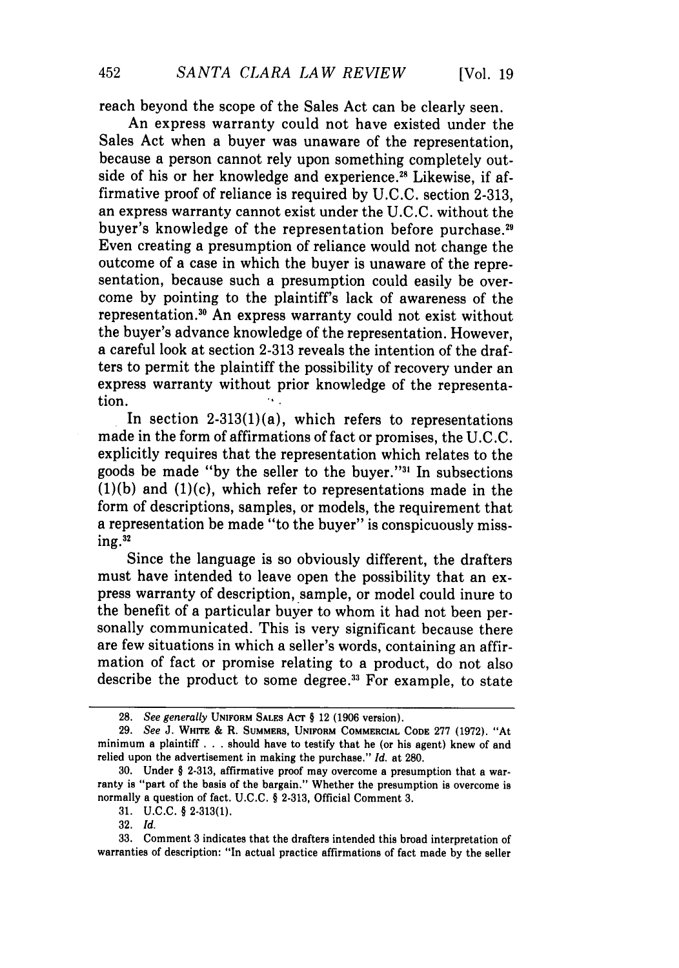reach beyond the scope of the Sales Act can be clearly seen.

An express warranty could not have existed under the Sales Act when a buyer was unaware of the representation, because a person cannot rely upon something completely outside of his or her knowledge and experience.<sup>28</sup> Likewise, if affirmative proof of reliance is required by U.C.C. section 2-313, an express warranty cannot exist under the U.C.C. without the buyer's knowledge of the representation before purchase.<sup>29</sup> Even creating a presumption of reliance would not change the outcome of a case in which the buyer is unaware of the representation, because such a presumption could easily be overcome by pointing to the plaintiff's lack of awareness of the representation." An express warranty could not exist without the buyer's advance knowledge of the representation. However, a careful look at section 2-313 reveals the intention of the drafters to permit the plaintiff the possibility of recovery under an express warranty without prior knowledge of the representation.

In section  $2-313(1)(a)$ , which refers to representations made in the form of affirmations of fact or promises, the U.C.C. explicitly requires that the representation which relates to the goods be made "by the seller to the buyer."<sup>31</sup> In subsections  $(1)(b)$  and  $(1)(c)$ , which refer to representations made in the form of descriptions, samples, or models, the requirement that a representation be made "to the buyer" is conspicuously missing.<sup>32</sup>

Since the language is so obviously different, the drafters must have intended to leave open the possibility that an express warranty of description, sample, or model could inure to the benefit of a particular buyer to whom it had not been personally communicated. This is very significant because there are few situations in which a seller's words, containing an affirmation of fact or promise relating to a product, do not also describe the product to some degree.<sup>33</sup> For example, to state

<sup>28.</sup> *See generally* **UNIFORM SALES ACT** § 12 **(1906** version).

**<sup>29.</sup>** *See* **J. WHrrE &** R. **SUMMERS, UNIFORM COMMERCIAL CODE 277 (1972).** "At minimum a plaintiff **. . .** should have to testify that he (or his agent) knew of and relied upon the advertisement in making the purchase." *Id.* at **280.**

**<sup>30.</sup>** Under § **2-313,** affirmative proof may overcome a presumption that a warranty is "part of the basis of the bargain." Whether the presumption is overcome is normally a question of fact. **U.C.C.** § **2-313,** Official Comment **3.**

**<sup>31.</sup> U.C.C.** § **2-313(1).**

**<sup>32.</sup>** *Id.*

**<sup>33.</sup>** Comment 3 indicates that the drafters intended this broad interpretation of warranties of description: "In actual practice affirmations of fact made **by** the seller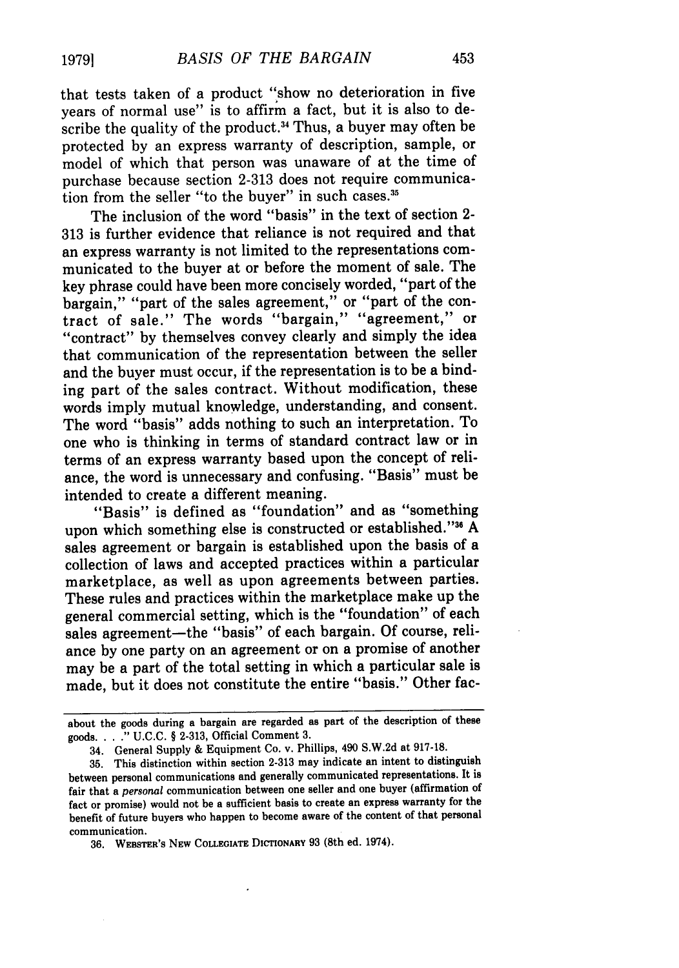that tests taken of a product "show no deterioration in five years of normal use" is to affirm a fact, but it is also to describe the quality of the product.<sup>34</sup> Thus, a buyer may often be protected by an express warranty of description, sample, or model of which that person was unaware of at the time of purchase because section 2-313 does not require communication from the seller "to the buver" in such cases.<sup>35</sup>

The inclusion of the word "basis" in the text of section 2- 313 is further evidence that reliance is not required and that an express warranty is not limited to the representations communicated to the buyer at or before the moment of sale. The key phrase could have been more concisely worded, "part of the bargain," "part of the sales agreement," or "part of the contract of sale." The words "bargain," "agreement," or "contract" by themselves convey clearly and simply the idea that communication of the representation between the seller and the buyer must occur, if the representation is to be a binding part of the sales contract. Without modification, these words imply mutual knowledge, understanding, and consent. The word "basis" adds nothing to such an interpretation. To one who is thinking in terms of standard contract law or in terms of an express warranty based upon the concept of reliance, the word is unnecessary and confusing. "Basis" must be intended to create a different meaning.

"Basis" is defined as "foundation" and as "something upon which something else is constructed or established." 36 A sales agreement or bargain is established upon the basis of a collection of laws and accepted practices within a particular marketplace, as well as upon agreements between parties. These rules and practices within the marketplace make up the general commercial setting, which is the "foundation" of each sales agreement-the "basis" of each bargain. Of course, reliance by one party on an agreement or on a promise of another may be a part of the total setting in which a particular sale is made, but it does not constitute the entire "basis." Other fac-

about the goods during a bargain are regarded as part of the description of these goods. .. **." U.C.C.** § **2-313,** Official Comment **3.**

<sup>34.</sup> General Supply **&** Equipment Co. v. Phillips, 490 **S.W.2d** at **917-18.**

**<sup>35.</sup>** This distinction within section **2-313** may indicate an intent to distinguish between personal communications and generally communicated representations. It is fair that a *personal* communication between one seller and one buyer (affirmation of fact or promise) would not be a sufficient basis to create an express warranty for the benefit of future buyers who happen to become aware of the content of that personal communication.

**<sup>36.</sup> WEBSTER'S NEw COLLEGIATE DICTIONARY 93** (8th ed. 1974).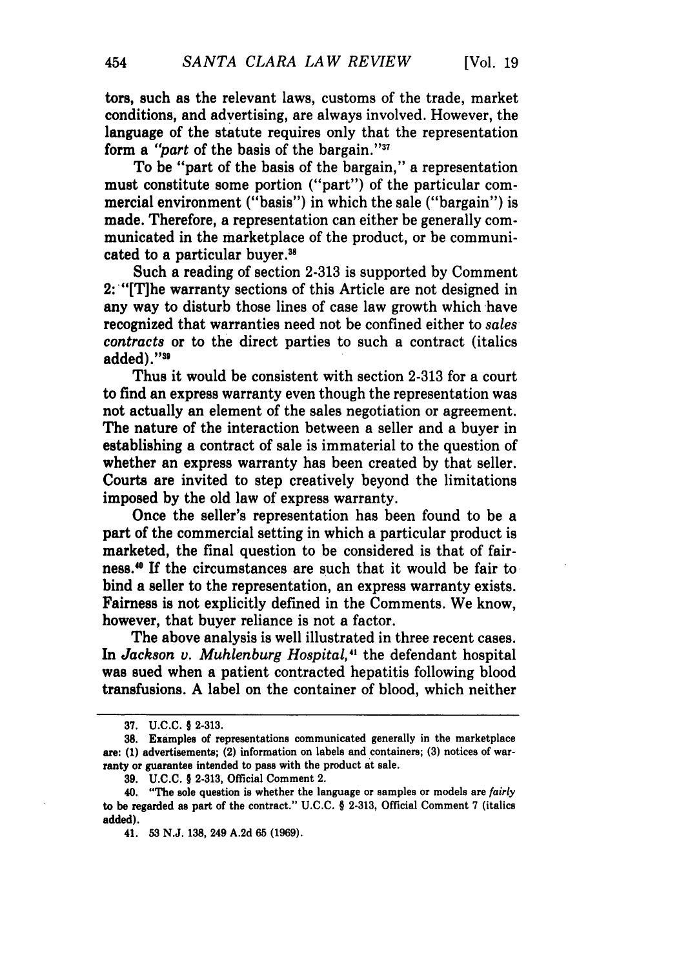tors, such as the relevant laws, customs of the trade, market conditions, and advertising, are always involved. However, the language of the statute requires only that the representation form a "part of the basis of the bargain."<sup>37</sup>

To be "part of the basis of the bargain," a representation must constitute some portion ("part") of the particular commercial environment ("basis") in which the sale ("bargain") is made. Therefore, a representation can either be generally communicated in the marketplace of the product, or be communicated to a particular buyer.<sup>38</sup>

Such a reading of section 2-313 is supported by Comment 2: "[T]he warranty sections of this Article are not designed in any way to disturb those lines of case law growth which have recognized that warranties need not be confined either to *sales contracts* or to the direct parties to such a contract (italics added)."39

Thus it would be consistent with section **2-313** for a court to find an express warranty even though the representation was not actually an element of the sales negotiation or agreement. The nature of the interaction between a seller and a buyer in establishing a contract of sale is immaterial to the question of whether an express warranty has been created by that seller. Courts are invited to step creatively beyond the limitations imposed by the old law of express warranty.

Once the seller's representation has been found to be a part of the commercial setting in which a particular product is marketed, the final question to be considered is that of fairness."' **If** the circumstances are such that it would be fair to bind a seller to the representation, an express warranty exists. Fairness is not explicitly defined in the Comments. We know, however, that buyer reliance is not a factor.

The above analysis is well illustrated in three recent cases. In *Jackson v. Muhlenburg Hospital,"* the defendant hospital was sued when a patient contracted hepatitis following blood transfusions. **A** label on the container of blood, which neither

**<sup>37.</sup> U.C.C.** § **2-313.**

**<sup>38.</sup>** Examples of representations communicated generally in the marketplace are: **(1)** advertisements; (2) information on labels and containers; **(3)** notices of warranty or guarantee intended to pass with the product at sale.

**<sup>39.</sup> U.C.C.** § **2-313,** Official Comment 2.

<sup>40. &</sup>quot;The sole question is whether the language or samples or models are *fairly* to be regarded as part of the contract." **U.C.C.** § **2-313,** Official Comment **7** (italics added).

<sup>41.</sup> **53 N.J. 138,** 249 **A.2d 65 (1969).**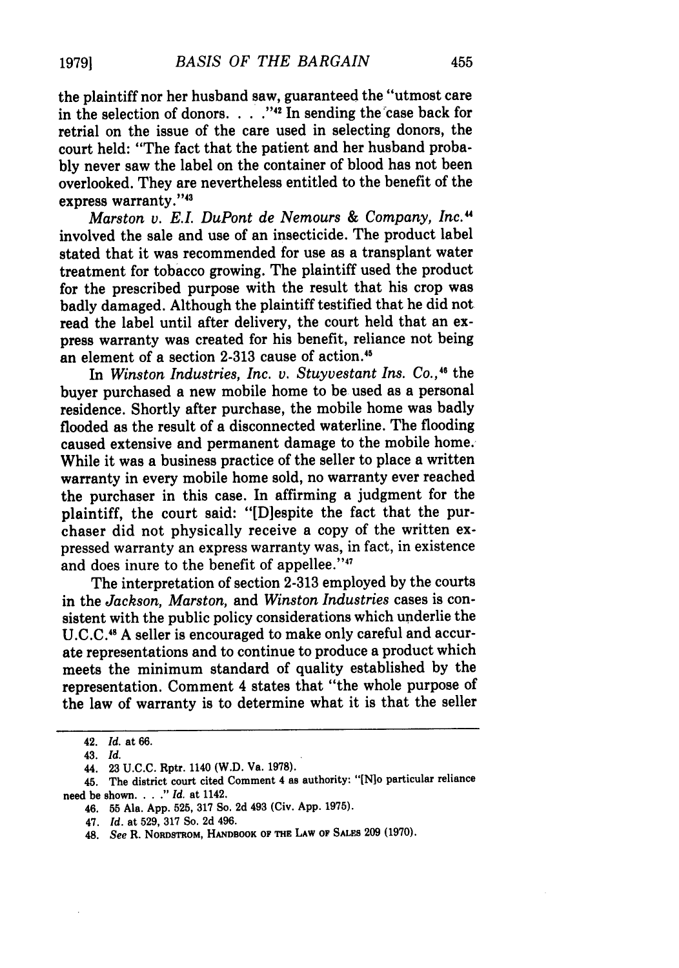the plaintiff nor her husband saw, guaranteed the "utmost care in the selection of donors. . . . "<sup>42</sup> In sending the case back for retrial on the issue of the care used in selecting donors, the court held: "The fact that the patient and her husband probably never saw the label on the container of blood has not been overlooked. They are nevertheless entitled to the benefit of the express warranty."<sup>43</sup>

*Marston v. E.L DuPont de Nemours & Company, Inc."* involved the sale and use of an insecticide. The product label stated that it was recommended for use as a transplant water treatment for tobacco growing. The plaintiff used the product for the prescribed purpose with the result that his crop was badly damaged. Although the plaintiff testified that he did not read the label until after delivery, the court held that an express warranty was created for his benefit, reliance not being an element of a section 2-313 cause of action."

In *Winston Industries, Inc. v. Stuyvestant Ins. Co.*,<sup>46</sup> the buyer purchased a new mobile home to be used as a personal residence. Shortly after purchase, the mobile home was badly flooded as the result of a disconnected waterline. The flooding caused extensive and permanent damage to the mobile home. While it was a business practice of the seller to place a written warranty in every mobile home sold, no warranty ever reached the purchaser in this case. In affirming a judgment for the plaintiff, the court said: "[D]espite the fact that the purchaser did not physically receive a copy of the written expressed warranty an express warranty was, in fact, in existence and does inure to the benefit of appellee."47

The interpretation of section 2-313 employed by the courts in the *Jackson, Marston,* and *Winston Industries* cases is consistent with the public policy considerations which underlie the **U.C.C.11** A seller is encouraged to make only careful and accurate representations and to continue to produce a product which meets the minimum standard of quality established by the representation. Comment 4 states that "the whole purpose of the law of warranty is to determine what it is that the seller

<sup>42.</sup> *Id.* at 66.

<sup>43.</sup> *Id.*

<sup>44. 23</sup> U.C.C. Rptr. 1140 (W.D. Va. 1978).

<sup>45.</sup> The district court cited Comment 4 as authority: "[N]o particular reliance need be shown. . . **."** *Id.* at 1142.

<sup>46. 55</sup> Ala. App. 525, 317 So. 2d 493 (Civ. App. 1975).

<sup>47.</sup> *Id.* at 529, 317 So. 2d 496.

<sup>48.</sup> *See* R. **NORDSTROM,** HANDBOOK **OF THE** LAW **OF SALES 209 (1970).**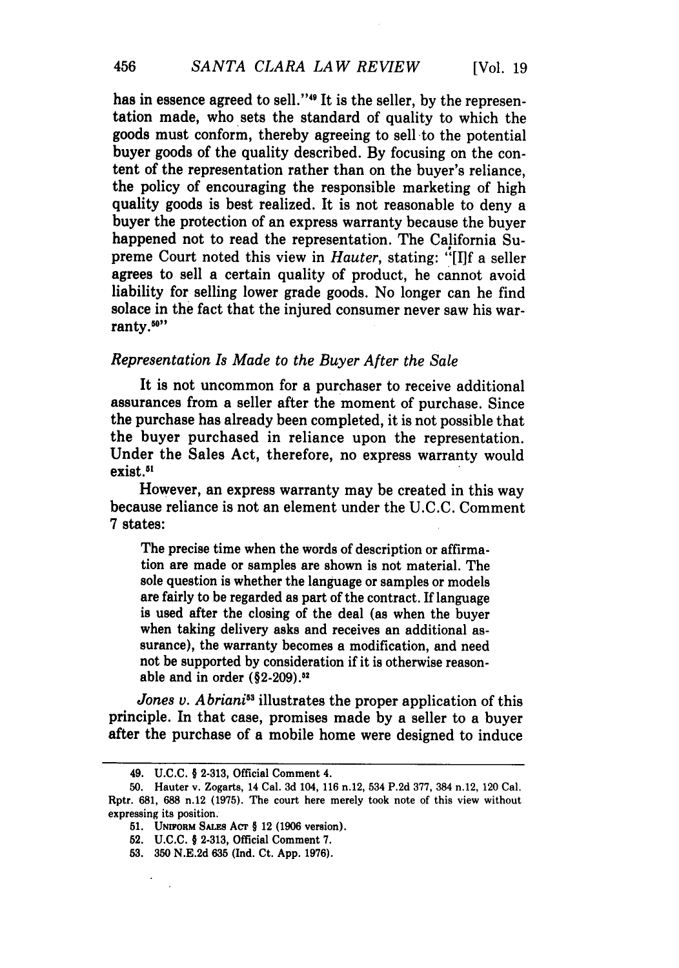has in essence agreed to sell."<sup>49</sup> It is the seller, by the representation made, who sets the standard of quality to which the goods must conform, thereby agreeing to sell to the potential buyer goods of the quality described. By focusing on the content of the representation rather than on the buyer's reliance, the policy of encouraging the responsible marketing of high quality goods is best realized. It is not reasonable to deny a buyer the protection of an express warranty because the buyer happened not to read the representation. The California Supreme Court noted this view in *Hauter,* stating: "[I]f a seller agrees to sell a certain quality of product, he cannot avoid liability for selling lower grade goods. No longer can he find solace in the fact that the injured consumer never saw his warranty.50"

## *Representation Is Made to the Buyer After the Sale*

It is not uncommon for a purchaser to receive additional assurances from a seller after the moment of purchase. Since the purchase has already been completed, it is not possible that the buyer purchased in reliance upon the representation. Under the Sales Act, therefore, no express warranty would exist.<sup>51</sup>

However, an express warranty may be created in this way because reliance is not an element under the U.C.C. Comment 7 states:

The precise time when the words of description or affirmation are made or samples are shown is not material. The sole question is whether the language or samples or models are fairly to be regarded as part of the contract. If language is used after the closing of the deal (as when the buyer when taking delivery asks and receives an additional assurance), the warranty becomes a modification, and need not be supported by consideration if it is otherwise reasonable and in order (§2-209).<sup>52</sup>

*Jones v. A briani*<sup>53</sup> illustrates the proper application of this principle. In that case, promises made by a seller to a buyer after the purchase of a mobile home were designed to induce

 $\mathbf{r}$ 

<sup>49.</sup> U.C.C. § **2-313,** Official Comment 4.

**<sup>50.</sup>** Hauter v. Zogarts, 14 Cal. **3d** 104, **116** n.12, 534 P.2d **377,** 384 n.12, 120 Cal. Rptr. **681, 688** n.12 **(1975).** The court here merely took note of this view without expressing its position.

<sup>51.</sup> **UNIFORM SALES Acr** § 12 **(1906** version).

<sup>52.</sup> **U.C.C.** § **2-313,** Official Comment **7.**

**<sup>53. 350</sup> N.E.2d 635 (Ind.** Ct. **App. 1976).**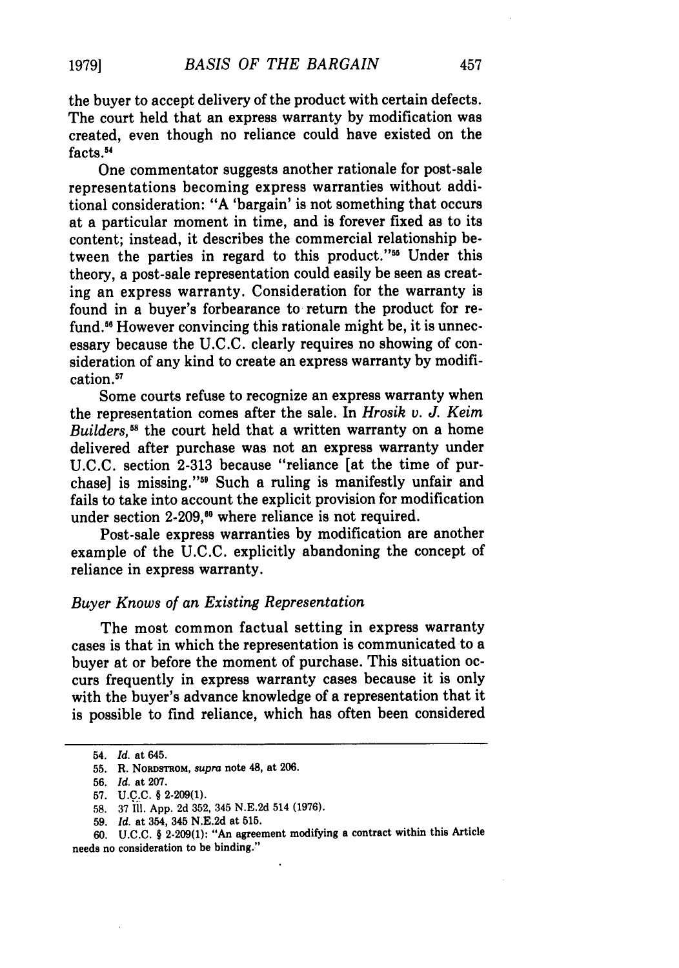the buyer to accept delivery of the product with certain defects. The court held that an express warranty by modification was created, even though no reliance could have existed on the facts.<sup>54</sup>

One commentator suggests another rationale for post-sale representations becoming express warranties without additional consideration: "A 'bargain' is not something that occurs at a particular moment in time, and is forever fixed as to its content; instead, it describes the commercial relationship between the parties in regard to this product."55 Under this theory, a post-sale representation could easily be seen as creating an express warranty. Consideration for the warranty is found in a buyer's forbearance to return the product for refund.<sup>56</sup> However convincing this rationale might be, it is unnecessary because the U.C.C. clearly requires no showing of consideration of any kind to create an express warranty by modification."

Some courts refuse to recognize an express warranty when the representation comes after the sale. In *Hrosik v. J. Keim Builders,58* the court held that a written warranty on a home delivered after purchase was not an express warranty under U.C.C. section 2-313 because "reliance [at the time of purchase] is missing."<sup>59</sup> Such a ruling is manifestly unfair and fails to take into account the explicit provision for modification under section 2-209,<sup>60</sup> where reliance is not required.

Post-sale express warranties by modification are another example of the U.C.C. explicitly abandoning the concept of reliance in express warranty.

#### *Buyer Knows of an Existing Representation*

The most common factual setting in express warranty cases is that in which the representation is communicated to a buyer at or before the moment of purchase. This situation occurs frequently in express warranty cases because it is only with the buyer's advance knowledge of a representation that it is possible to find reliance, which has often been considered

**19791**

<sup>54.</sup> *Id.* at 645.

<sup>55.</sup> R. NORDSTROM, supra note 48, at 206.

<sup>56.</sup> *Id.* at 207.

**<sup>57.</sup> U.C.C.** § **2-209(1).**

**<sup>58. 37</sup> Il. App. 2d 352,** 345 **N.E.2d** 514 **(1976).**

**<sup>59.</sup>** *Id.* at 354, 345 **N.E.2d** at **515.**

**<sup>60.</sup> U.C.C.** § **2-209(1):** "An agreement modifying a contract within this Article needs no consideration to be binding."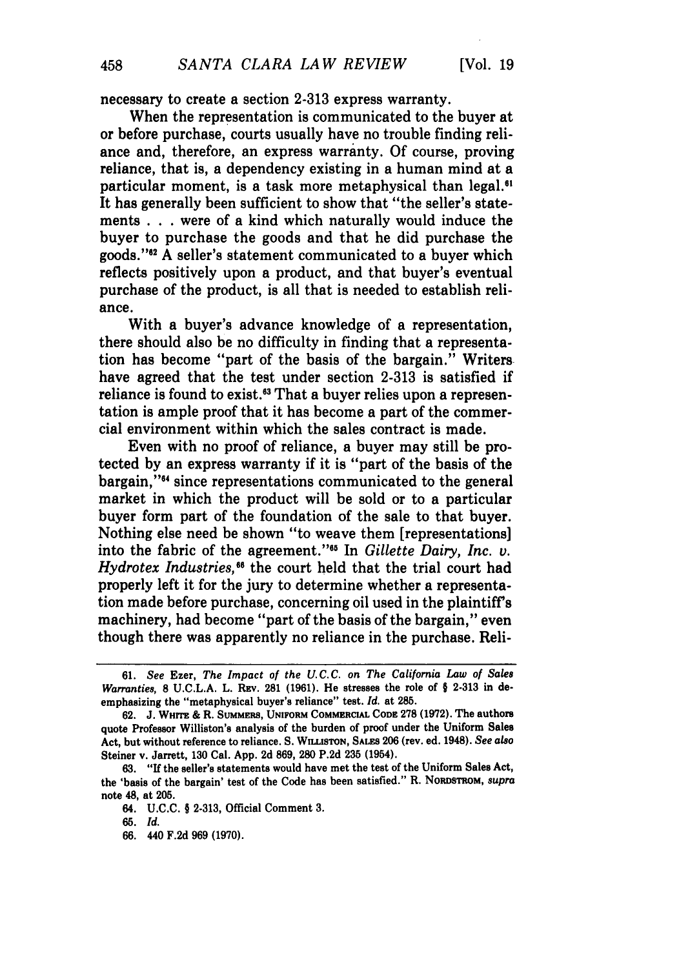necessary to create a section 2-313 express warranty.

When the representation is communicated to the buyer at or before purchase, courts usually have no trouble finding reliance and, therefore, an express warranty. Of course, proving reliance, that is, a dependency existing in a human mind at a particular moment, is a task more metaphysical than legal.<sup>61</sup> It has generally been sufficient to show that "the seller's statements . . .were of a kind which naturally would induce the buyer to purchase the goods and that he did purchase the goods."<sup>82</sup> A seller's statement communicated to a buyer which reflects positively upon a product, and that buyer's eventual purchase of the product, is all that is needed to establish reliance.

With a buyer's advance knowledge of a representation, there should also be no difficulty in finding that a representation has become "part of the basis of the bargain." Writers have agreed that the test under section **2-313** is satisfied if reliance is found to exist.<sup>63</sup> That a buyer relies upon a representation is ample proof that it has become a part of the commercial environment within which the sales contract is made.

Even with no proof of reliance, a buyer may still be protected **by** an express warranty if it is "part of the basis of the bargain,"<sup>44</sup> since representations communicated to the general market in which the product will be sold or to a particular buyer form part of the foundation of the sale to that buyer. Nothing else need be shown "to weave them [representations] into the fabric of the agreement.""6 In *Gillette Dairy, Inc. v. Hydrotex Industries,"6* the court held that the trial court had properly left it for the jury to determine whether a representation made before purchase, concerning oil used in the plaintiffs machinery, had become "part of the basis of the bargain," even though there was apparently no reliance in the purchase. Reli-

**66.** 440 **F.2d 969 (1970).**

**<sup>61.</sup>** *See* Ezer, *The Impact of the U.C.C. on The California Law of Sales Warranties,* **8 U.C.L.A.** L. **REv. 281 (1961).** He stresses the role of *§* **2-313** in deemphasizing the "metaphysical buyer's reliance" test. *Id.* at **285.**

**<sup>62.</sup> J. WHrrE &** R. **SUMMERS, UNIFORM COMMERCIAL CODE 278 (1972).** The authors quote Professor Williston's analysis of the burden of proof under the Uniform Sales Act, but without reference to reliance. **S. WLLISTON, SALES 206** (rev. ed. 1948). *See also* Steiner v. Jarrett, **130** Cal. **App. 2d 869, 280 P.2d 235** (1954).

**<sup>63.</sup>** "If the seller's statements would have met the test of the Uniform Sales Act, the 'basis of the bargain' test of the Code has been satisfied." R. NORDSTROM, *supra* note 48, at 205.

<sup>64.</sup> **U.C.C.** § **2-313,** Official Comment **3.**

*<sup>65.</sup> Id.*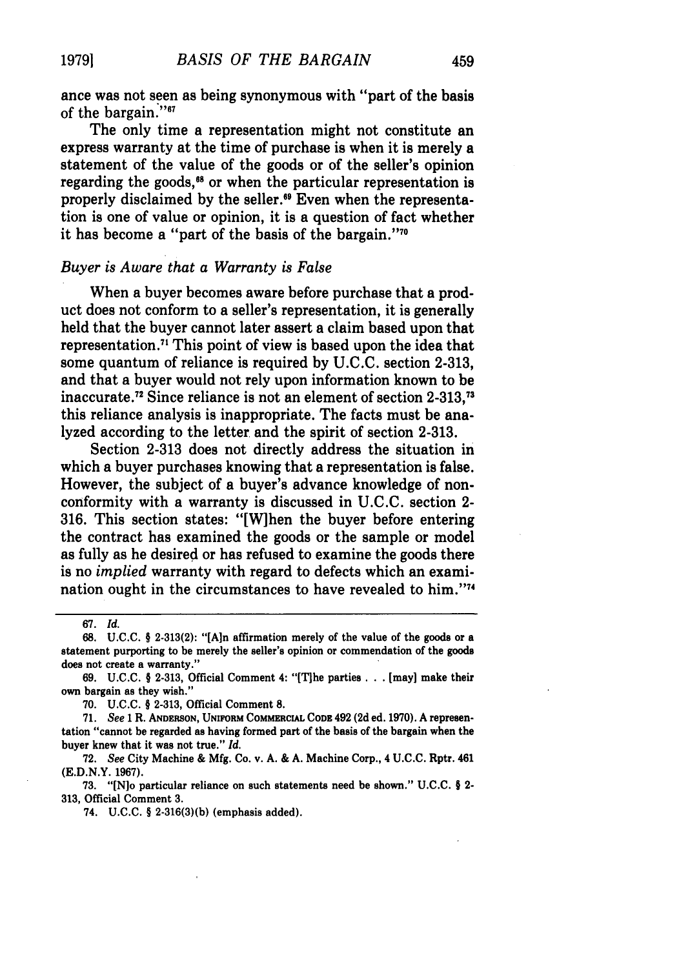ance was not seen as being synonymous with "part of the basis of the bargain."<sup>67</sup>

The only time a representation might not constitute an express warranty at the time of purchase is when it is merely a statement of the value of the goods or of the seller's opinion regarding the goods,<sup>68</sup> or when the particular representation is properly disclaimed by the seller."9 Even when the representation is one of value or opinion, it is a question of fact whether it has become a "part of the basis of the bargain." $70$ 

#### *Buyer is Aware that a Warranty is False*

When a buyer becomes aware before purchase that a product does not conform to a seller's representation, it is generally held that the buyer cannot later assert a claim based upon that representation.<sup>71</sup> This point of view is based upon the idea that some quantum of reliance is required by U.C.C. section **2-313,** and that a buyer would not rely upon information known to be inaccurate.<sup>72</sup> Since reliance is not an element of section 2-313,<sup>73</sup> this reliance analysis is inappropriate. The facts must be analyzed according to the letter and the spirit of section **2-313.**

Section 2-313 does not directly address the situation in which a buyer purchases knowing that a representation is false. However, the subject of a buyer's advance knowledge of nonconformity with a warranty is discussed in U.C.C. section 2- 316. This section states: "[W]hen the buyer before entering the contract has examined the goods or the sample or model as fully as he desired or has refused to examine the goods there is no *implied* warranty with regard to defects which an examination ought in the circumstances to have revealed to him."<sup>77</sup>

**67.** *Id.*

**70. U.C.C.** § **2-313,** Official Comment **8.**

**71.** *See* 1 R. **ANDERSON, UNIFORM COMMERCIAL** CODE 492 (2d ed. **1970).** A representation "cannot be regarded as having formed part of the basis of the bargain when the buyer knew that it was not true." *Id.*

**72.** *See* City Machine & Mfg. Co. v. A. & A. Machine Corp., 4 U.C.C. Rptr. 461 (E.D.N.Y. **1967).**

**73. "[N]o** particular reliance on such statements need be shown." U.C.C. § 2- **313,** Official Comment **3.**

74. U.C.C. § **2-316(3)(b)** (emphasis added).

**<sup>68.</sup> U.C.C.** § **2-313(2): "[Aln** affirmation merely of the value of the goods or a statement purporting to be merely the seller's opinion or commendation of the goods does not create a warranty."

**<sup>69.</sup> U.C.C.** § **2-313,** Official Comment 4: "[Tihe parties **. . .** [may] make their own bargain as they wish."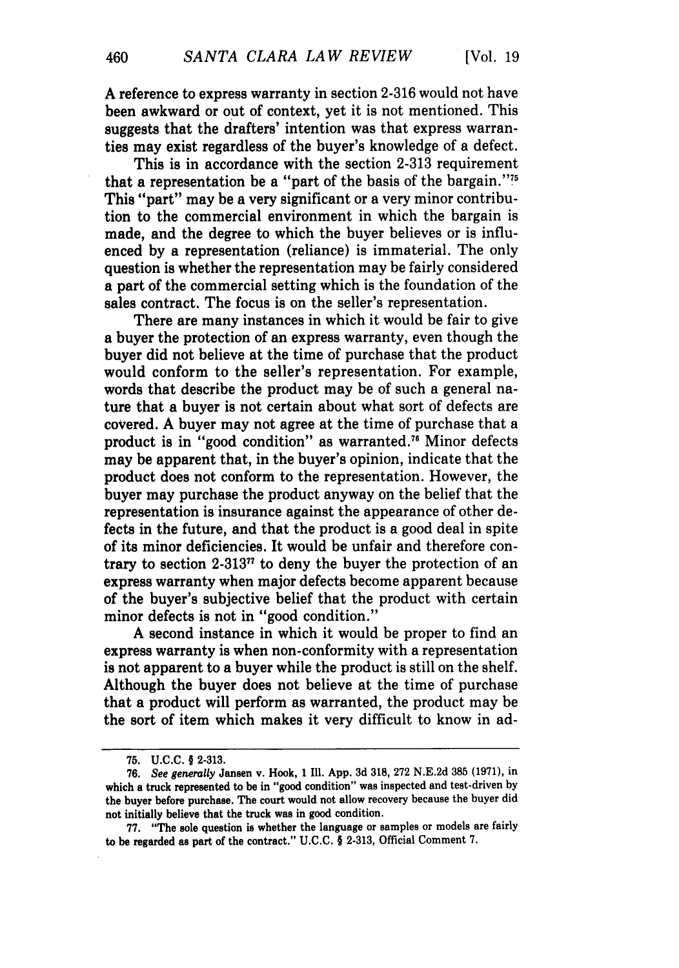**A** reference to express warranty in section 2-316 would not have been awkward or out of context, yet it is not mentioned. This suggests that the drafters' intention was that express warranties may exist regardless of the buyer's knowledge of a defect.

This is in accordance with the section 2-313 requirement that a representation be a "part of the basis of the bargain." $75$ This "part" may be a very significant or a very minor contribution to the commercial environment in which the bargain is made, and the degree to which the buyer believes or is influenced by a representation (reliance) is immaterial. The only question is whether the representation may be fairly considered a part of the commercial setting which is the foundation of the sales contract. The focus is on the seller's representation.

There are many instances in which it would be fair to give a buyer the protection of an express warranty, even though the buyer did not believe at the time of purchase that the product would conform to the seller's representation. For example, words that describe the product may be of such a general nature that a buyer is not certain about what sort of defects are covered. A buyer may not agree at the time of purchase that a product is in "good condition" as warranted."6 Minor defects may be apparent that, in the buyer's opinion, indicate that the product does not conform to the representation. However, the buyer may purchase the product anyway on the belief that the representation is insurance against the appearance of other defects in the future, and that the product is a good deal in spite of its minor deficiencies. It would be unfair and therefore contrary to section  $2-313$ <sup>77</sup> to deny the buyer the protection of an express warranty when major defects become apparent because of the buyer's subjective belief that the product with certain minor defects is not in "good condition."

**A** second instance in which it would be proper to find an express warranty is when non-conformity with a representation is not apparent to a buyer while the product is still on the shelf. Although the buyer does not believe at the time of purchase that a product will perform as warranted, the product may be the sort of item which makes it very difficult to know in ad-

**<sup>75.</sup> U.C.C.** § **2-313.**

**<sup>76.</sup>** See generally Jansen v. Hook, 1 **Ill. App. 3d 318, 272 N.E.2d 385 (1971),** in which a truck represented to be in "good condition" was inspected and test-driven **by** the buyer before purchase. The court would not allow recovery because the buyer did not initially believe that the truck was in good condition.

**<sup>77.</sup>** "The sole question is whether the language or samples or models are fairly to be regarded as part of the contract." **U.C.C.** § **2-313,** Official Comment **7.**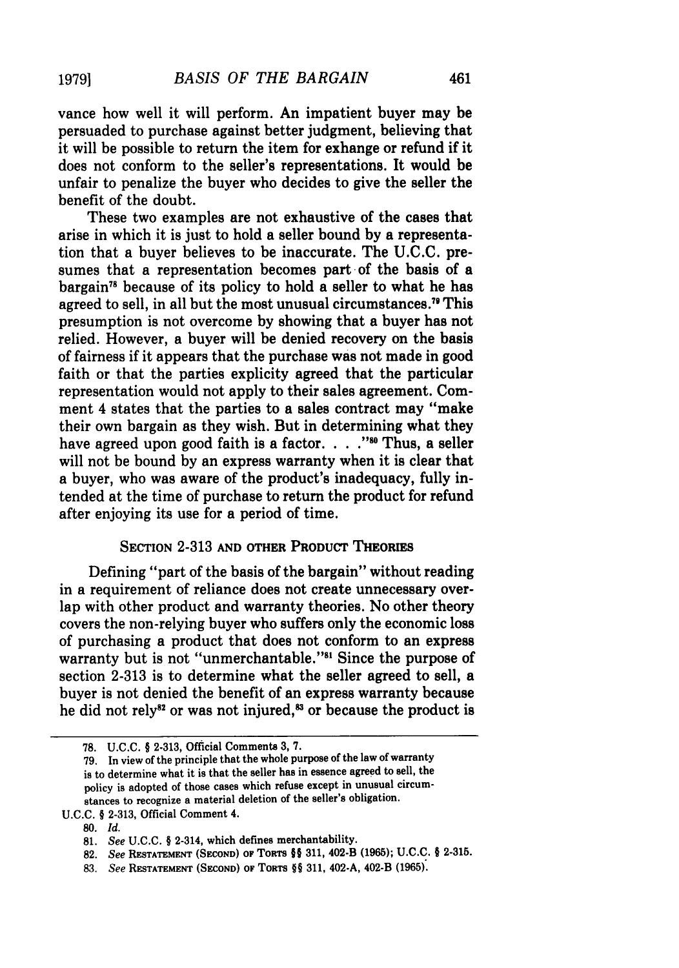vance how well it will perform. An impatient buyer may be persuaded to purchase against better judgment, believing that it will be possible to return the item for exhange or refund if it does not conform to the seller's representations. It would be unfair to penalize the buyer who decides to give the seller the benefit of the doubt.

These two examples are not exhaustive of the cases that arise in which it is just to hold a seller bound by a representation that a buyer believes to be inaccurate. The U.C.C. presumes that a representation becomes part of the basis of a bargain"8 because of its policy to hold a seller to what he has agreed to sell, in all but the most unusual circumstances." This presumption is not overcome by showing that a buyer has not relied. However, a buyer will be denied recovery on the basis of fairness if it appears that the purchase was not made in good faith or that the parties explicity agreed that the particular representation would not apply to their sales agreement. Comment 4 states that the parties to a sales contract may "make their own bargain as they wish. But in determining what they have agreed upon good faith is a factor. . . . "<sup>80</sup> Thus, a seller will not be bound by an express warranty when it is clear that a buyer, who was aware of the product's inadequacy, fully intended at the time of purchase to return the product for refund after enjoying its use for a period of time.

## **SECTION** 2-313 **AND** OTHER PRODUCT THEORIES

Defining "part of the basis of the bargain" without reading in a requirement of reliance does not create unnecessary overlap with other product and warranty theories. No other theory covers the non-relying buyer who suffers only the economic loss of purchasing a product that does not conform to an express warranty but is not "unmerchantable."<sup>81</sup> Since the purpose of section **2-313** is to determine what the seller agreed to sell, a buyer is not denied the benefit of an express warranty because he did not rely $^{82}$  or was not injured, $^{83}$  or because the product is

**19791**

**<sup>78.</sup> U.C.C.** § **2-313,** Official Comments **3, 7.**

**<sup>79.</sup>** In view of the principle that the whole purpose of the law of warranty is to determine what it is that the seller has in essence agreed to sell, the policy is adopted of those cases which refuse except in unusual circumstances to recognize a material deletion of the seller's obligation.

**U.C.C.** § **2-313,** Official Comment 4.

**<sup>80.</sup>** *Id.*

**<sup>81.</sup>** *See* **U.C.C.** § 2-314, which defines merchantability.

**<sup>82.</sup>** *See* **RESTATEMENT (SECOND) OF** TORTS §§ **311,** 402-B **(1965); U.C.C.** § **2-315.**

**<sup>83.</sup>** *See* **RESTATEMENT (SECOND) OF** TORTS §§ **311,** 402-A, 402-B **(1965).**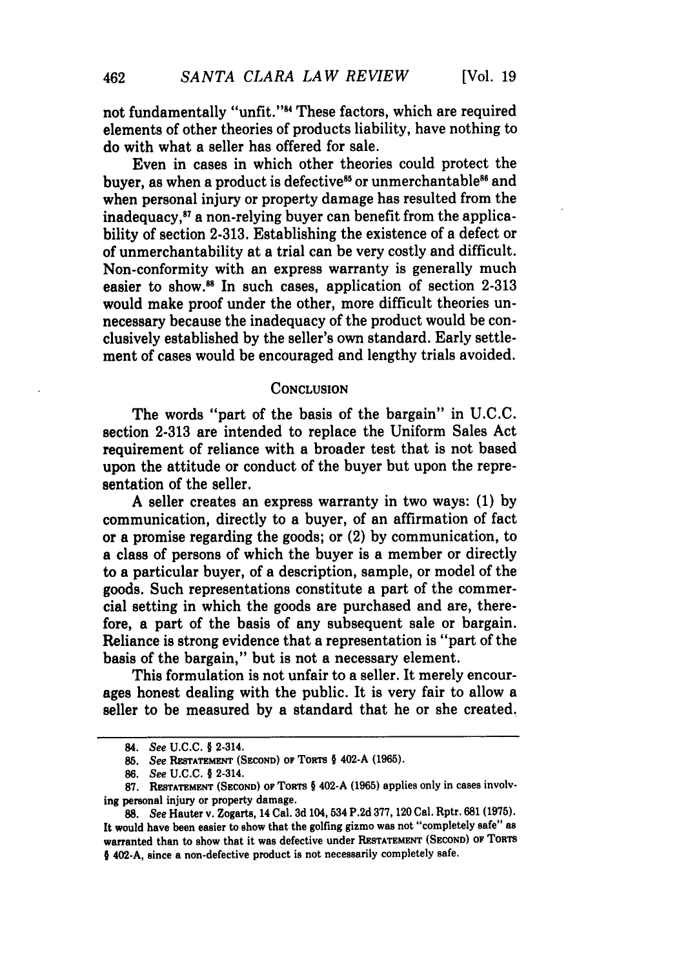not fundamentally "unfit."84 These factors, which are required elements of other theories of products liability, have nothing to do with what a seller has offered for sale.

Even in cases in which other theories could protect the buyer, as when a product is defective<sup>85</sup> or unmerchantable<sup>86</sup> and when personal injury or property damage has resulted from the inadequacy,87 a non-relying buyer can benefit from the applicability of section 2-313. Establishing the existence of a defect or of unmerchantability at a trial can be very costly and difficult. Non-conformity with an express warranty is generally much easier to show.<sup>88</sup> In such cases, application of section  $2-313$ would make proof under the other, more difficult theories unnecessary because the inadequacy of the product would be conclusively established by the seller's own standard. Early settlement of cases would be encouraged and lengthy trials avoided.

#### **CONCLUSION**

The words "part of the basis of the bargain" in **U.C.C.** section **2-313** are intended to replace the Uniform Sales Act requirement of reliance with a broader test that is not based upon the attitude or conduct of the buyer but upon the representation of the seller.

**A** seller creates an express warranty in two ways: **(1) by** communication, directly to a buyer, of an affirmation of fact or a promise regarding the goods; or (2) **by** communication, to a class of persons of which the buyer is a member or directly to a particular buyer, of a description, sample, or model of the goods. Such representations constitute a part of the commercial setting in which the goods are purchased and are, therefore, a part of the basis of any subsequent sale or bargain. Reliance is strong evidence that a representation is "part of the basis of the bargain," but is not a necessary element.

This formulation is not unfair to a seller. It merely encourages honest dealing with the public. It is very fair to allow a seller to be measured **by** a standard that he or she created.

<sup>84.</sup> See **U.C.C.** § 2-314.

**<sup>85.</sup>** See **RESTATEMENT (SECOND) OF TORTS** § 402-A **(1965).**

*<sup>86.</sup>* See **U.C.C.** § 2-314.

<sup>87.</sup> **RESTATEMENT (SECOND) OF TORTS § 402-A (1965) applies only in cases involv**ing personal injury or property damage.

**<sup>88.</sup>** See Hauter v. Zogarts, 14 Cal. **3d** 104, 534 **P.2d 377, 120** Cal. Rptr. **681 (1975).** It would have been easier to show that the golfing gizmo was not "completely safe" as warranted than to show that it was defective under **RESTATEMENT (SECOND) OF TORTS** § 402-A, since a non-defective product is not necessarily completely safe.